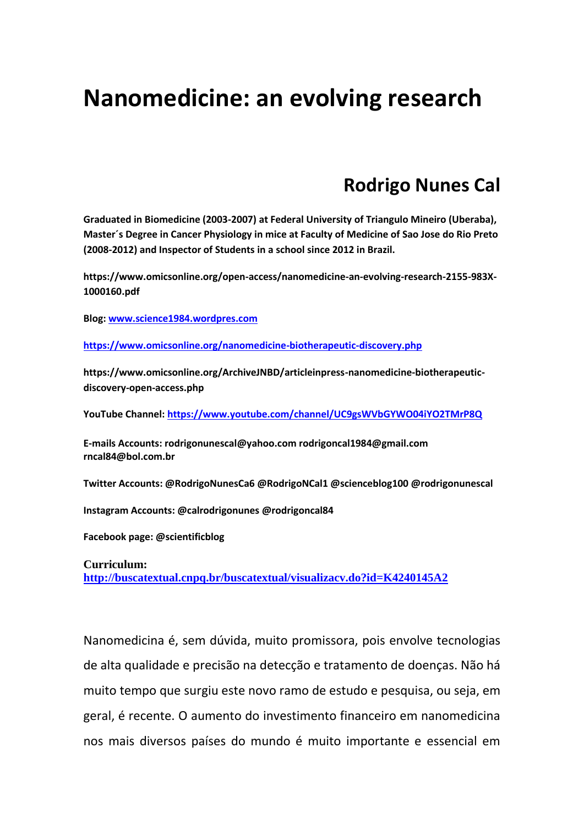## **Nanomedicine: an evolving research**

## **Rodrigo Nunes Cal**

**Graduated in Biomedicine (2003-2007) at Federal University of Triangulo Mineiro (Uberaba), Master´s Degree in Cancer Physiology in mice at Faculty of Medicine of Sao Jose do Rio Preto (2008-2012) and Inspector of Students in a school since 2012 in Brazil.**

**https://www.omicsonline.org/open-access/nanomedicine-an-evolving-research-2155-983X-1000160.pdf**

**Blog[: www.science1984.wordpres.com](http://www.science1984.wordpres.com/)**

**<https://www.omicsonline.org/nanomedicine-biotherapeutic-discovery.php>**

**https://www.omicsonline.org/ArchiveJNBD/articleinpress-nanomedicine-biotherapeuticdiscovery-open-access.php**

**YouTube Channel[: https://www.youtube.com/channel/UC9gsWVbGYWO04iYO2TMrP8Q](https://www.youtube.com/channel/UC9gsWVbGYWO04iYO2TMrP8Q)**

**E-mails Accounts: rodrigonunescal@yahoo.com rodrigoncal1984@gmail.com rncal84@bol.com.br**

**Twitter Accounts: @RodrigoNunesCa6 @RodrigoNCal1 @scienceblog100 @rodrigonunescal**

**Instagram Accounts: @calrodrigonunes @rodrigoncal84**

**Facebook page: @scientificblog**

**Curriculum: <http://buscatextual.cnpq.br/buscatextual/visualizacv.do?id=K4240145A2>**

Nanomedicina é, sem dúvida, muito promissora, pois envolve tecnologias de alta qualidade e precisão na detecção e tratamento de doenças. Não há muito tempo que surgiu este novo ramo de estudo e pesquisa, ou seja, em geral, é recente. O aumento do investimento financeiro em nanomedicina nos mais diversos países do mundo é muito importante e essencial em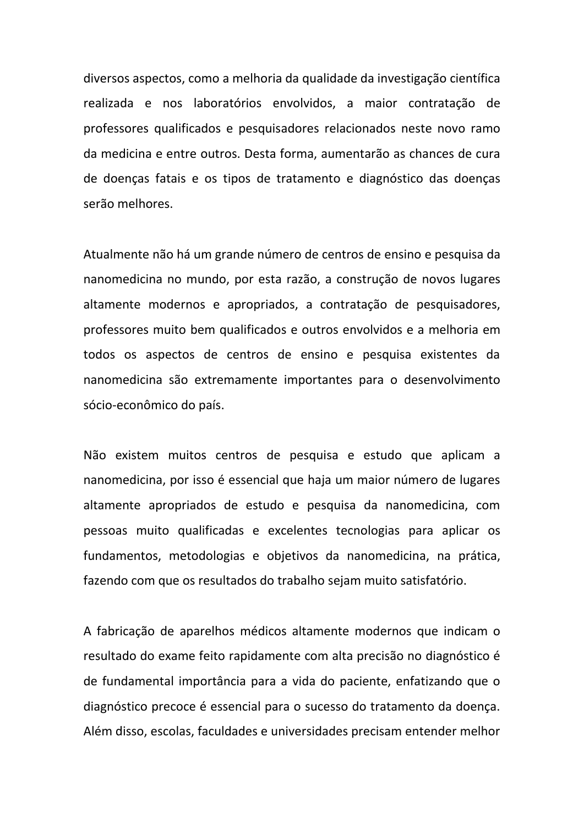diversos aspectos, como a melhoria da qualidade da investigação científica realizada e nos laboratórios envolvidos, a maior contratação de professores qualificados e pesquisadores relacionados neste novo ramo da medicina e entre outros. Desta forma, aumentarão as chances de cura de doenças fatais e os tipos de tratamento e diagnóstico das doenças serão melhores.

Atualmente não há um grande número de centros de ensino e pesquisa da nanomedicina no mundo, por esta razão, a construção de novos lugares altamente modernos e apropriados, a contratação de pesquisadores, professores muito bem qualificados e outros envolvidos e a melhoria em todos os aspectos de centros de ensino e pesquisa existentes da nanomedicina são extremamente importantes para o desenvolvimento sócio-econômico do país.

Não existem muitos centros de pesquisa e estudo que aplicam a nanomedicina, por isso é essencial que haja um maior número de lugares altamente apropriados de estudo e pesquisa da nanomedicina, com pessoas muito qualificadas e excelentes tecnologias para aplicar os fundamentos, metodologias e objetivos da nanomedicina, na prática, fazendo com que os resultados do trabalho sejam muito satisfatório.

A fabricação de aparelhos médicos altamente modernos que indicam o resultado do exame feito rapidamente com alta precisão no diagnóstico é de fundamental importância para a vida do paciente, enfatizando que o diagnóstico precoce é essencial para o sucesso do tratamento da doença. Além disso, escolas, faculdades e universidades precisam entender melhor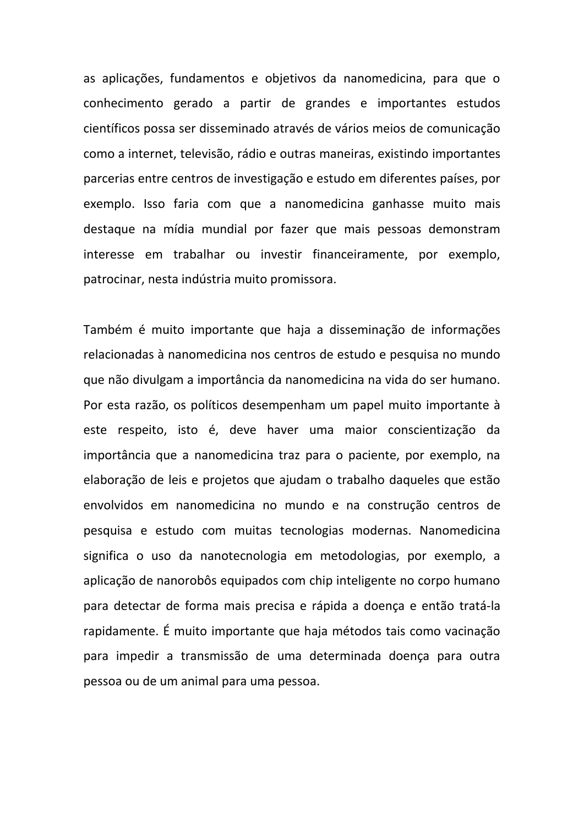as aplicações, fundamentos e objetivos da nanomedicina, para que o conhecimento gerado a partir de grandes e importantes estudos científicos possa ser disseminado através de vários meios de comunicação como a internet, televisão, rádio e outras maneiras, existindo importantes parcerias entre centros de investigação e estudo em diferentes países, por exemplo. Isso faria com que a nanomedicina ganhasse muito mais destaque na mídia mundial por fazer que mais pessoas demonstram interesse em trabalhar ou investir financeiramente, por exemplo, patrocinar, nesta indústria muito promissora.

Também é muito importante que haja a disseminação de informações relacionadas à nanomedicina nos centros de estudo e pesquisa no mundo que não divulgam a importância da nanomedicina na vida do ser humano. Por esta razão, os políticos desempenham um papel muito importante à este respeito, isto é, deve haver uma maior conscientização da importância que a nanomedicina traz para o paciente, por exemplo, na elaboração de leis e projetos que ajudam o trabalho daqueles que estão envolvidos em nanomedicina no mundo e na construção centros de pesquisa e estudo com muitas tecnologias modernas. Nanomedicina significa o uso da nanotecnologia em metodologias, por exemplo, a aplicação de nanorobôs equipados com chip inteligente no corpo humano para detectar de forma mais precisa e rápida a doença e então tratá-la rapidamente. É muito importante que haja métodos tais como vacinação para impedir a transmissão de uma determinada doença para outra pessoa ou de um animal para uma pessoa.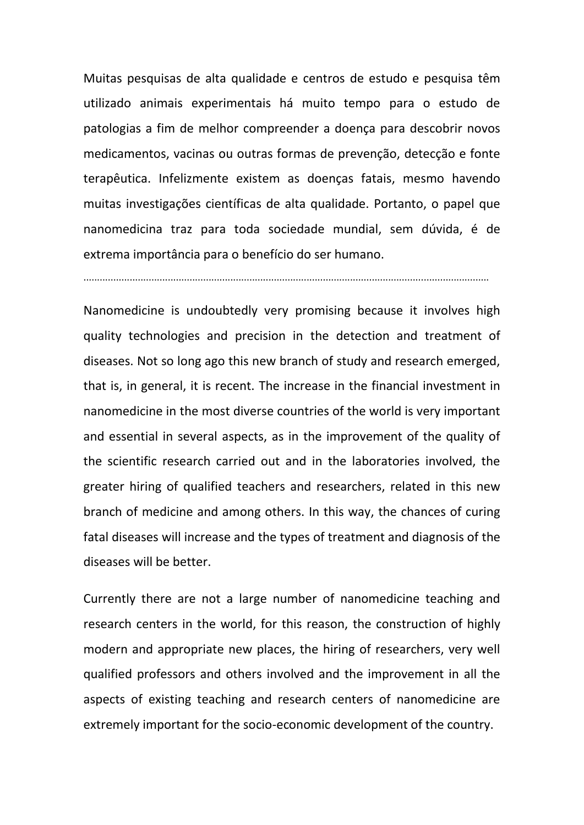Muitas pesquisas de alta qualidade e centros de estudo e pesquisa têm utilizado animais experimentais há muito tempo para o estudo de patologias a fim de melhor compreender a doença para descobrir novos medicamentos, vacinas ou outras formas de prevenção, detecção e fonte terapêutica. Infelizmente existem as doenças fatais, mesmo havendo muitas investigações científicas de alta qualidade. Portanto, o papel que nanomedicina traz para toda sociedade mundial, sem dúvida, é de extrema importância para o benefício do ser humano.

.....................................................................................................................................................

Nanomedicine is undoubtedly very promising because it involves high quality technologies and precision in the detection and treatment of diseases. Not so long ago this new branch of study and research emerged, that is, in general, it is recent. The increase in the financial investment in nanomedicine in the most diverse countries of the world is very important and essential in several aspects, as in the improvement of the quality of the scientific research carried out and in the laboratories involved, the greater hiring of qualified teachers and researchers, related in this new branch of medicine and among others. In this way, the chances of curing fatal diseases will increase and the types of treatment and diagnosis of the diseases will be better.

Currently there are not a large number of nanomedicine teaching and research centers in the world, for this reason, the construction of highly modern and appropriate new places, the hiring of researchers, very well qualified professors and others involved and the improvement in all the aspects of existing teaching and research centers of nanomedicine are extremely important for the socio-economic development of the country.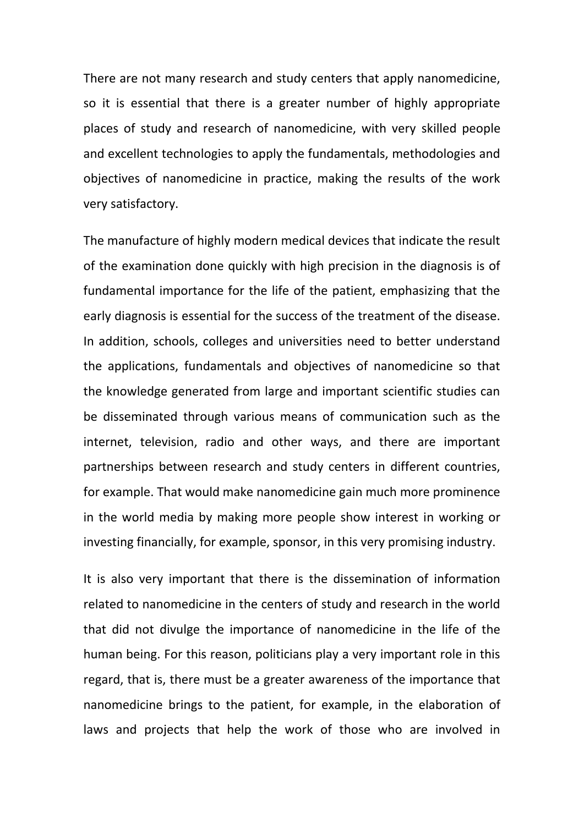There are not many research and study centers that apply nanomedicine, so it is essential that there is a greater number of highly appropriate places of study and research of nanomedicine, with very skilled people and excellent technologies to apply the fundamentals, methodologies and objectives of nanomedicine in practice, making the results of the work very satisfactory.

The manufacture of highly modern medical devices that indicate the result of the examination done quickly with high precision in the diagnosis is of fundamental importance for the life of the patient, emphasizing that the early diagnosis is essential for the success of the treatment of the disease. In addition, schools, colleges and universities need to better understand the applications, fundamentals and objectives of nanomedicine so that the knowledge generated from large and important scientific studies can be disseminated through various means of communication such as the internet, television, radio and other ways, and there are important partnerships between research and study centers in different countries, for example. That would make nanomedicine gain much more prominence in the world media by making more people show interest in working or investing financially, for example, sponsor, in this very promising industry.

It is also very important that there is the dissemination of information related to nanomedicine in the centers of study and research in the world that did not divulge the importance of nanomedicine in the life of the human being. For this reason, politicians play a very important role in this regard, that is, there must be a greater awareness of the importance that nanomedicine brings to the patient, for example, in the elaboration of laws and projects that help the work of those who are involved in